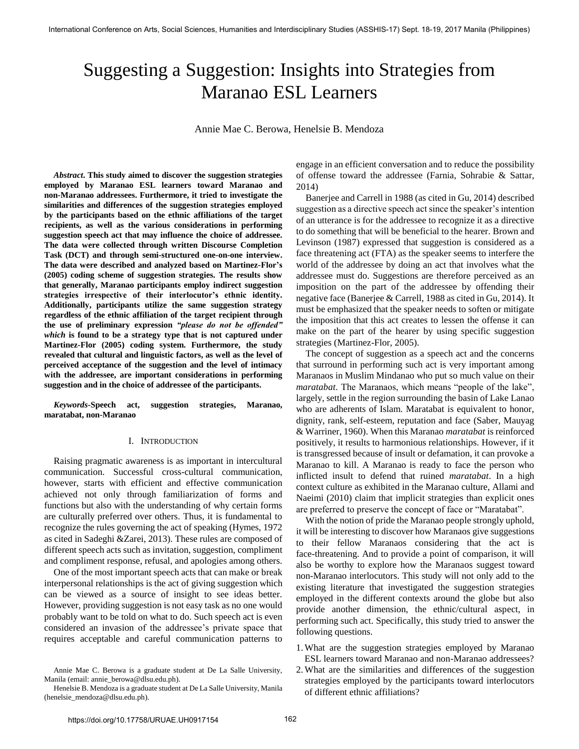# Suggesting a Suggestion: Insights into Strategies from Maranao ESL Learners

Annie Mae C. Berowa, Henelsie B. Mendoza

*Abstract***. This study aimed to discover the suggestion strategies employed by Maranao ESL learners toward Maranao and non-Maranao addressees. Furthermore, it tried to investigate the similarities and differences of the suggestion strategies employed by the participants based on the ethnic affiliations of the target recipients, as well as the various considerations in performing suggestion speech act that may influence the choice of addressee. The data were collected through written Discourse Completion Task (DCT) and through semi-structured one-on-one interview. The data were described and analyzed based on Martinez-Flor's (2005) coding scheme of suggestion strategies. The results show that generally, Maranao participants employ indirect suggestion strategies irrespective of their interlocutor's ethnic identity. Additionally, participants utilize the same suggestion strategy regardless of the ethnic affiliation of the target recipient through the use of preliminary expression** *"please do not be offended" which* **is found to be a strategy type that is not captured under Martinez-Flor (2005) coding system. Furthermore, the study revealed that cultural and linguistic factors, as well as the level of perceived acceptance of the suggestion and the level of intimacy with the addressee, are important considerations in performing suggestion and in the choice of addressee of the participants.** 

*Keywords***-Speech act, suggestion strategies, Maranao, maratabat, non-Maranao** 

# I. INTRODUCTION

Raising pragmatic awareness is as important in intercultural communication. Successful cross-cultural communication, however, starts with efficient and effective communication achieved not only through familiarization of forms and functions but also with the understanding of why certain forms are culturally preferred over others. Thus, it is fundamental to recognize the rules governing the act of speaking (Hymes, 1972 as cited in Sadeghi &Zarei, 2013). These rules are composed of different speech acts such as invitation, suggestion, compliment and compliment response, refusal, and apologies among others.

One of the most important speech acts that can make or break interpersonal relationships is the act of giving suggestion which can be viewed as a source of insight to see ideas better. However, providing suggestion is not easy task as no one would probably want to be told on what to do. Such speech act is even considered an invasion of the addressee's private space that requires acceptable and careful communication patterns to

engage in an efficient conversation and to reduce the possibility of offense toward the addressee (Farnia, Sohrabie & Sattar, 2014)

Banerjee and Carrell in 1988 (as cited in Gu, 2014) described suggestion as a directive speech act since the speaker's intention of an utterance is for the addressee to recognize it as a directive to do something that will be beneficial to the hearer. Brown and Levinson (1987) expressed that suggestion is considered as a face threatening act (FTA) as the speaker seems to interfere the world of the addressee by doing an act that involves what the addressee must do. Suggestions are therefore perceived as an imposition on the part of the addressee by offending their negative face (Banerjee & Carrell, 1988 as cited in Gu, 2014). It must be emphasized that the speaker needs to soften or mitigate the imposition that this act creates to lessen the offense it can make on the part of the hearer by using specific suggestion strategies (Martinez-Flor, 2005).

The concept of suggestion as a speech act and the concerns that surround in performing such act is very important among Maranaos in Muslim Mindanao who put so much value on their *maratabat*. The Maranaos, which means "people of the lake", largely, settle in the region surrounding the basin of Lake Lanao who are adherents of Islam. Maratabat is equivalent to honor, dignity, rank, self-esteem, reputation and face (Saber, Mauyag & Warriner, 1960). When this Maranao *maratabat* is reinforced positively, it results to harmonious relationships. However, if it is transgressed because of insult or defamation, it can provoke a Maranao to kill. A Maranao is ready to face the person who inflicted insult to defend that ruined *maratabat*. In a high context culture as exhibited in the Maranao culture, Allami and Naeimi (2010) claim that implicit strategies than explicit ones are preferred to preserve the concept of face or "Maratabat".

With the notion of pride the Maranao people strongly uphold, it will be interesting to discover how Maranaos give suggestions to their fellow Maranaos considering that the act is face-threatening. And to provide a point of comparison, it will also be worthy to explore how the Maranaos suggest toward non-Maranao interlocutors. This study will not only add to the existing literature that investigated the suggestion strategies employed in the different contexts around the globe but also provide another dimension, the ethnic/cultural aspect, in performing such act. Specifically, this study tried to answer the following questions.

- 1.What are the suggestion strategies employed by Maranao ESL learners toward Maranao and non-Maranao addressees?
- 2.What are the similarities and differences of the suggestion strategies employed by the participants toward interlocutors of different ethnic affiliations?

Annie Mae C. Berowa is a graduate student at De La Salle University, Manila (email: annie\_berowa@dlsu.edu.ph).

Henelsie B. Mendoza is a graduate student at De La Salle University, Manila (henelsie\_mendoza@dlsu.edu.ph).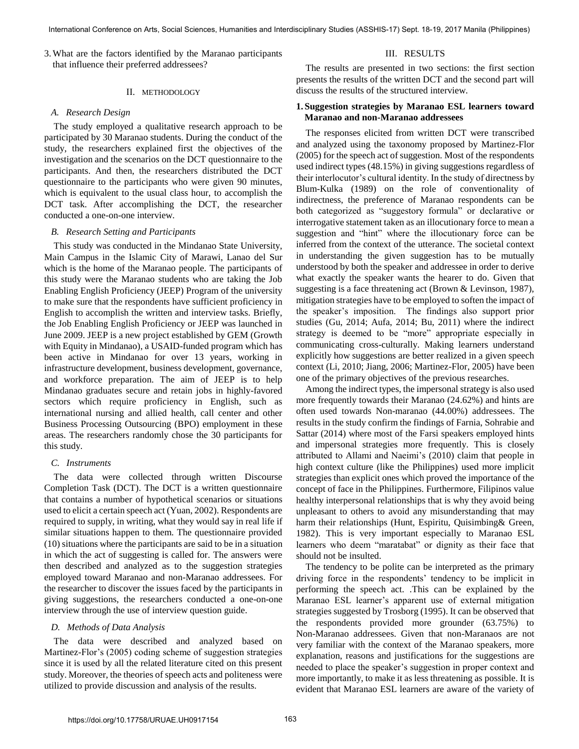3.What are the factors identified by the Maranao participants that influence their preferred addressees?

# II. METHODOLOGY

# *A. Research Design*

The study employed a qualitative research approach to be participated by 30 Maranao students. During the conduct of the study, the researchers explained first the objectives of the investigation and the scenarios on the DCT questionnaire to the participants. And then, the researchers distributed the DCT questionnaire to the participants who were given 90 minutes, which is equivalent to the usual class hour, to accomplish the DCT task. After accomplishing the DCT, the researcher conducted a one-on-one interview.

# *B. Research Setting and Participants*

This study was conducted in the Mindanao State University, Main Campus in the Islamic City of Marawi, Lanao del Sur which is the home of the Maranao people. The participants of this study were the Maranao students who are taking the Job Enabling English Proficiency (JEEP) Program of the university to make sure that the respondents have sufficient proficiency in English to accomplish the written and interview tasks. Briefly, the Job Enabling English Proficiency or JEEP was launched in June 2009. JEEP is a new project established by GEM (Growth with Equity in Mindanao), a USAID-funded program which has been active in Mindanao for over 13 years, working in infrastructure development, business development, governance, and workforce preparation. The aim of JEEP is to help Mindanao graduates secure and retain jobs in highly-favored sectors which require proficiency in English, such as international nursing and allied health, call center and other Business Processing Outsourcing (BPO) employment in these areas. The researchers randomly chose the 30 participants for this study.

# *C. Instruments*

The data were collected through written Discourse Completion Task (DCT). The DCT is a written questionnaire that contains a number of hypothetical scenarios or situations used to elicit a certain speech act (Yuan, 2002). Respondents are required to supply, in writing, what they would say in real life if similar situations happen to them. The questionnaire provided (10) situations where the participants are said to be in a situation in which the act of suggesting is called for. The answers were then described and analyzed as to the suggestion strategies employed toward Maranao and non-Maranao addressees. For the researcher to discover the issues faced by the participants in giving suggestions, the researchers conducted a one-on-one interview through the use of interview question guide.

# *D. Methods of Data Analysis*

The data were described and analyzed based on Martinez-Flor's (2005) coding scheme of suggestion strategies since it is used by all the related literature cited on this present study. Moreover, the theories of speech acts and politeness were utilized to provide discussion and analysis of the results.

# III. RESULTS

The results are presented in two sections: the first section presents the results of the written DCT and the second part will discuss the results of the structured interview.

# **1. Suggestion strategies by Maranao ESL learners toward Maranao and non-Maranao addressees**

 The responses elicited from written DCT were transcribed and analyzed using the taxonomy proposed by Martinez-Flor (2005) for the speech act of suggestion. Most of the respondents used indirect types (48.15%) in giving suggestions regardless of their interlocutor's cultural identity. In the study of directness by Blum-Kulka (1989) on the role of conventionality of indirectness, the preference of Maranao respondents can be both categorized as "suggestory formula" or declarative or interrogative statement taken as an illocutionary force to mean a suggestion and "hint" where the illocutionary force can be inferred from the context of the utterance. The societal context in understanding the given suggestion has to be mutually understood by both the speaker and addressee in order to derive what exactly the speaker wants the hearer to do. Given that suggesting is a face threatening act (Brown & Levinson, 1987), mitigation strategies have to be employed to soften the impact of the speaker's imposition. The findings also support prior studies (Gu, 2014; Aufa, 2014; Bu, 2011) where the indirect strategy is deemed to be "more" appropriate especially in communicating cross-culturally. Making learners understand explicitly how suggestions are better realized in a given speech context (Li, 2010; Jiang, 2006; Martinez-Flor, 2005) have been one of the primary objectives of the previous researches.

Among the indirect types, the impersonal strategy is also used more frequently towards their Maranao (24.62%) and hints are often used towards Non-maranao (44.00%) addressees. The results in the study confirm the findings of Farnia, Sohrabie and Sattar (2014) where most of the Farsi speakers employed hints and impersonal strategies more frequently. This is closely attributed to Allami and Naeimi's (2010) claim that people in high context culture (like the Philippines) used more implicit strategies than explicit ones which proved the importance of the concept of face in the Philippines. Furthermore, Filipinos value healthy interpersonal relationships that is why they avoid being unpleasant to others to avoid any misunderstanding that may harm their relationships (Hunt, Espiritu, Quisimbing& Green, 1982). This is very important especially to Maranao ESL learners who deem "maratabat" or dignity as their face that should not be insulted.

The tendency to be polite can be interpreted as the primary driving force in the respondents' tendency to be implicit in performing the speech act. .This can be explained by the Maranao ESL learner's apparent use of external mitigation strategies suggested by Trosborg (1995). It can be observed that the respondents provided more grounder (63.75%) to Non-Maranao addressees. Given that non-Maranaos are not very familiar with the context of the Maranao speakers, more explanation, reasons and justifications for the suggestions are needed to place the speaker's suggestion in proper context and more importantly, to make it as less threatening as possible. It is evident that Maranao ESL learners are aware of the variety of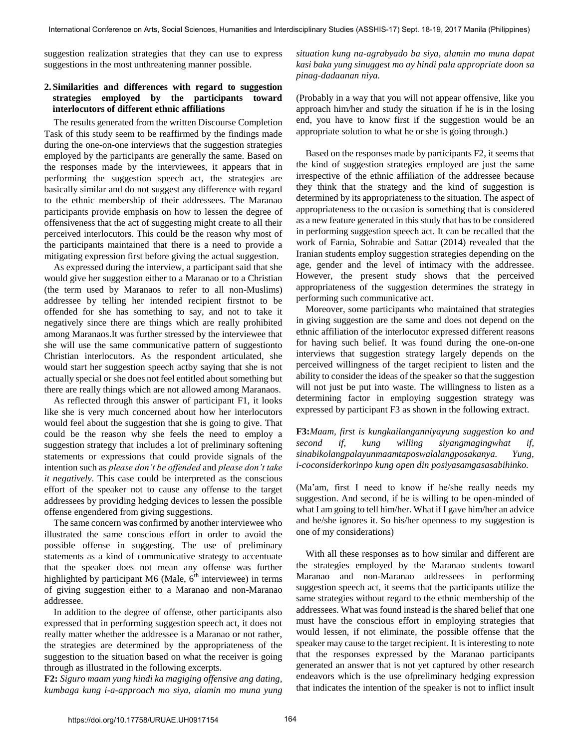suggestion realization strategies that they can use to express suggestions in the most unthreatening manner possible.

# **2. Similarities and differences with regard to suggestion strategies employed by the participants toward interlocutors of different ethnic affiliations**

The results generated from the written Discourse Completion Task of this study seem to be reaffirmed by the findings made during the one-on-one interviews that the suggestion strategies employed by the participants are generally the same. Based on the responses made by the interviewees, it appears that in performing the suggestion speech act, the strategies are basically similar and do not suggest any difference with regard to the ethnic membership of their addressees. The Maranao participants provide emphasis on how to lessen the degree of offensiveness that the act of suggesting might create to all their perceived interlocutors. This could be the reason why most of the participants maintained that there is a need to provide a mitigating expression first before giving the actual suggestion.

As expressed during the interview, a participant said that she would give her suggestion either to a Maranao or to a Christian (the term used by Maranaos to refer to all non-Muslims) addressee by telling her intended recipient firstnot to be offended for she has something to say, and not to take it negatively since there are things which are really prohibited among Maranaos.It was further stressed by the interviewee that she will use the same communicative pattern of suggestionto Christian interlocutors. As the respondent articulated, she would start her suggestion speech actby saying that she is not actually special or she does not feel entitled about something but there are really things which are not allowed among Maranaos.

As reflected through this answer of participant F1, it looks like she is very much concerned about how her interlocutors would feel about the suggestion that she is going to give. That could be the reason why she feels the need to employ a suggestion strategy that includes a lot of preliminary softening statements or expressions that could provide signals of the intention such as *please don't be offended* and *please don't take it negatively*. This case could be interpreted as the conscious effort of the speaker not to cause any offense to the target addressees by providing hedging devices to lessen the possible offense engendered from giving suggestions.

The same concern was confirmed by another interviewee who illustrated the same conscious effort in order to avoid the possible offense in suggesting. The use of preliminary statements as a kind of communicative strategy to accentuate that the speaker does not mean any offense was further highlighted by participant M6 (Male,  $6<sup>th</sup>$  interviewee) in terms of giving suggestion either to a Maranao and non-Maranao addressee.

In addition to the degree of offense, other participants also expressed that in performing suggestion speech act, it does not really matter whether the addressee is a Maranao or not rather, the strategies are determined by the appropriateness of the suggestion to the situation based on what the receiver is going through as illustrated in the following excerpts.

**F2:** *Siguro maam yung hindi ka magiging offensive ang dating, kumbaga kung i-a-approach mo siya, alamin mo muna yung*  *situation kung na-agrabyado ba siya, alamin mo muna dapat kasi baka yung sinuggest mo ay hindi pala appropriate doon sa pinag-dadaanan niya.* 

(Probably in a way that you will not appear offensive, like you approach him/her and study the situation if he is in the losing end, you have to know first if the suggestion would be an appropriate solution to what he or she is going through.)

Based on the responses made by participants F2, it seems that the kind of suggestion strategies employed are just the same irrespective of the ethnic affiliation of the addressee because they think that the strategy and the kind of suggestion is determined by its appropriateness to the situation. The aspect of appropriateness to the occasion is something that is considered as a new feature generated in this study that has to be considered in performing suggestion speech act. It can be recalled that the work of Farnia, Sohrabie and Sattar (2014) revealed that the Iranian students employ suggestion strategies depending on the age, gender and the level of intimacy with the addressee. However, the present study shows that the perceived appropriateness of the suggestion determines the strategy in performing such communicative act.

Moreover, some participants who maintained that strategies in giving suggestion are the same and does not depend on the ethnic affiliation of the interlocutor expressed different reasons for having such belief. It was found during the one-on-one interviews that suggestion strategy largely depends on the perceived willingness of the target recipient to listen and the ability to consider the ideas of the speaker so that the suggestion will not just be put into waste. The willingness to listen as a determining factor in employing suggestion strategy was expressed by participant F3 as shown in the following extract.

**F3:***Maam, first is kungkailanganniyayung suggestion ko and second if, kung willing siyangmagingwhat if, sinabikolangpalayunmaamtaposwalalangposakanya. Yung, i-coconsiderkorinpo kung open din posiyasamgasasabihinko.* 

(Ma'am, first I need to know if he/she really needs my suggestion. And second, if he is willing to be open-minded of what I am going to tell him/her. What if I gave him/her an advice and he/she ignores it. So his/her openness to my suggestion is one of my considerations)

With all these responses as to how similar and different are the strategies employed by the Maranao students toward Maranao and non-Maranao addressees in performing suggestion speech act, it seems that the participants utilize the same strategies without regard to the ethnic membership of the addressees. What was found instead is the shared belief that one must have the conscious effort in employing strategies that would lessen, if not eliminate, the possible offense that the speaker may cause to the target recipient. It is interesting to note that the responses expressed by the Maranao participants generated an answer that is not yet captured by other research endeavors which is the use ofpreliminary hedging expression that indicates the intention of the speaker is not to inflict insult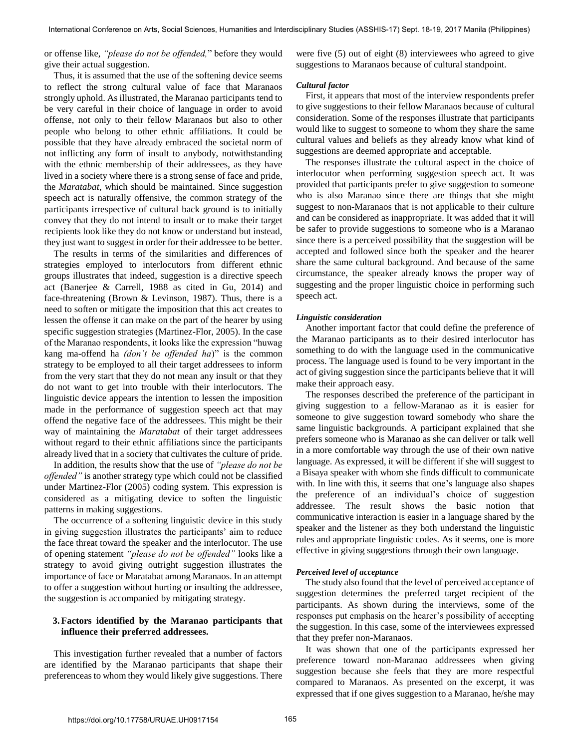or offense like, *"please do not be offended,*" before they would give their actual suggestion.

Thus, it is assumed that the use of the softening device seems to reflect the strong cultural value of face that Maranaos strongly uphold. As illustrated, the Maranao participants tend to be very careful in their choice of language in order to avoid offense, not only to their fellow Maranaos but also to other people who belong to other ethnic affiliations. It could be possible that they have already embraced the societal norm of not inflicting any form of insult to anybody, notwithstanding with the ethnic membership of their addressees, as they have lived in a society where there is a strong sense of face and pride, the *Maratabat*, which should be maintained. Since suggestion speech act is naturally offensive, the common strategy of the participants irrespective of cultural back ground is to initially convey that they do not intend to insult or to make their target recipients look like they do not know or understand but instead, they just want to suggest in order for their addressee to be better.

The results in terms of the similarities and differences of strategies employed to interlocutors from different ethnic groups illustrates that indeed, suggestion is a directive speech act (Banerjee & Carrell, 1988 as cited in Gu, 2014) and face-threatening (Brown & Levinson, 1987). Thus, there is a need to soften or mitigate the imposition that this act creates to lessen the offense it can make on the part of the hearer by using specific suggestion strategies (Martinez-Flor, 2005). In the case of the Maranao respondents, it looks like the expression "huwag kang ma-offend ha *(don't be offended ha*)" is the common strategy to be employed to all their target addressees to inform from the very start that they do not mean any insult or that they do not want to get into trouble with their interlocutors. The linguistic device appears the intention to lessen the imposition made in the performance of suggestion speech act that may offend the negative face of the addressees. This might be their way of maintaining the *Maratabat* of their target addressees without regard to their ethnic affiliations since the participants already lived that in a society that cultivates the culture of pride.

In addition, the results show that the use of *"please do not be offended"* is another strategy type which could not be classified under Martinez-Flor (2005) coding system. This expression is considered as a mitigating device to soften the linguistic patterns in making suggestions.

The occurrence of a softening linguistic device in this study in giving suggestion illustrates the participants' aim to reduce the face threat toward the speaker and the interlocutor. The use of opening statement *"please do not be offended"* looks like a strategy to avoid giving outright suggestion illustrates the importance of face or Maratabat among Maranaos. In an attempt to offer a suggestion without hurting or insulting the addressee, the suggestion is accompanied by mitigating strategy.

# **3.Factors identified by the Maranao participants that influence their preferred addressees.**

This investigation further revealed that a number of factors are identified by the Maranao participants that shape their preferenceas to whom they would likely give suggestions. There

were five (5) out of eight (8) interviewees who agreed to give suggestions to Maranaos because of cultural standpoint.

#### *Cultural factor*

First, it appears that most of the interview respondents prefer to give suggestions to their fellow Maranaos because of cultural consideration. Some of the responses illustrate that participants would like to suggest to someone to whom they share the same cultural values and beliefs as they already know what kind of suggestions are deemed appropriate and acceptable.

The responses illustrate the cultural aspect in the choice of interlocutor when performing suggestion speech act. It was provided that participants prefer to give suggestion to someone who is also Maranao since there are things that she might suggest to non-Maranaos that is not applicable to their culture and can be considered as inappropriate. It was added that it will be safer to provide suggestions to someone who is a Maranao since there is a perceived possibility that the suggestion will be accepted and followed since both the speaker and the hearer share the same cultural background. And because of the same circumstance, the speaker already knows the proper way of suggesting and the proper linguistic choice in performing such speech act.

# *Linguistic consideration*

Another important factor that could define the preference of the Maranao participants as to their desired interlocutor has something to do with the language used in the communicative process. The language used is found to be very important in the act of giving suggestion since the participants believe that it will make their approach easy.

The responses described the preference of the participant in giving suggestion to a fellow-Maranao as it is easier for someone to give suggestion toward somebody who share the same linguistic backgrounds. A participant explained that she prefers someone who is Maranao as she can deliver or talk well in a more comfortable way through the use of their own native language. As expressed, it will be different if she will suggest to a Bisaya speaker with whom she finds difficult to communicate with. In line with this, it seems that one's language also shapes the preference of an individual's choice of suggestion addressee. The result shows the basic notion that communicative interaction is easier in a language shared by the speaker and the listener as they both understand the linguistic rules and appropriate linguistic codes. As it seems, one is more effective in giving suggestions through their own language.

#### *Perceived level of acceptance*

The study also found that the level of perceived acceptance of suggestion determines the preferred target recipient of the participants. As shown during the interviews, some of the responses put emphasis on the hearer's possibility of accepting the suggestion. In this case, some of the interviewees expressed that they prefer non-Maranaos.

It was shown that one of the participants expressed her preference toward non-Maranao addressees when giving suggestion because she feels that they are more respectful compared to Maranaos. As presented on the excerpt, it was expressed that if one gives suggestion to a Maranao, he/she may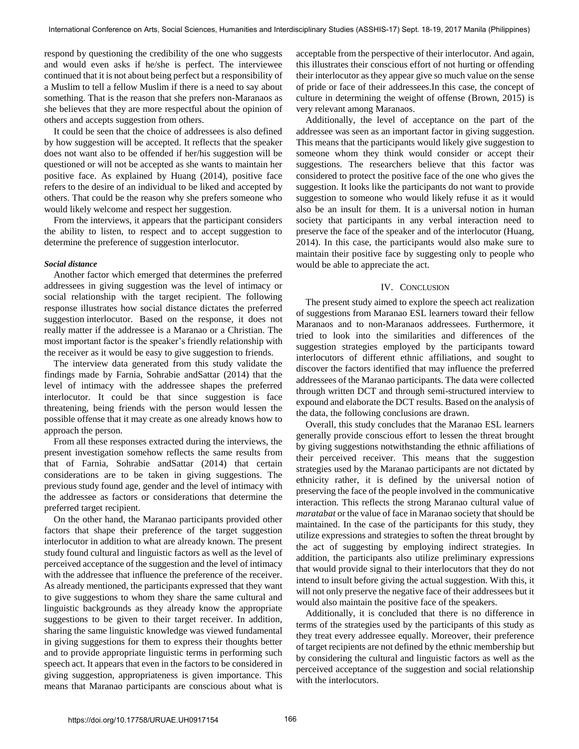respond by questioning the credibility of the one who suggests and would even asks if he/she is perfect. The interviewee continued that it is not about being perfect but a responsibility of a Muslim to tell a fellow Muslim if there is a need to say about something. That is the reason that she prefers non-Maranaos as she believes that they are more respectful about the opinion of others and accepts suggestion from others.

It could be seen that the choice of addressees is also defined by how suggestion will be accepted. It reflects that the speaker does not want also to be offended if her/his suggestion will be questioned or will not be accepted as she wants to maintain her positive face. As explained by Huang (2014), positive face refers to the desire of an individual to be liked and accepted by others. That could be the reason why she prefers someone who would likely welcome and respect her suggestion.

From the interviews, it appears that the participant considers the ability to listen, to respect and to accept suggestion to determine the preference of suggestion interlocutor.

# *Social distance*

Another factor which emerged that determines the preferred addressees in giving suggestion was the level of intimacy or social relationship with the target recipient. The following response illustrates how social distance dictates the preferred suggestion interlocutor. Based on the response, it does not really matter if the addressee is a Maranao or a Christian. The most important factor is the speaker's friendly relationship with the receiver as it would be easy to give suggestion to friends.

The interview data generated from this study validate the findings made by Farnia, Sohrabie andSattar (2014) that the level of intimacy with the addressee shapes the preferred interlocutor. It could be that since suggestion is face threatening, being friends with the person would lessen the possible offense that it may create as one already knows how to approach the person.

From all these responses extracted during the interviews, the present investigation somehow reflects the same results from that of Farnia, Sohrabie andSattar (2014) that certain considerations are to be taken in giving suggestions. The previous study found age, gender and the level of intimacy with the addressee as factors or considerations that determine the preferred target recipient.

On the other hand, the Maranao participants provided other factors that shape their preference of the target suggestion interlocutor in addition to what are already known. The present study found cultural and linguistic factors as well as the level of perceived acceptance of the suggestion and the level of intimacy with the addressee that influence the preference of the receiver. As already mentioned, the participants expressed that they want to give suggestions to whom they share the same cultural and linguistic backgrounds as they already know the appropriate suggestions to be given to their target receiver. In addition, sharing the same linguistic knowledge was viewed fundamental in giving suggestions for them to express their thoughts better and to provide appropriate linguistic terms in performing such speech act. It appears that even in the factors to be considered in giving suggestion, appropriateness is given importance. This means that Maranao participants are conscious about what is

acceptable from the perspective of their interlocutor. And again, this illustrates their conscious effort of not hurting or offending their interlocutor as they appear give so much value on the sense of pride or face of their addressees.In this case, the concept of culture in determining the weight of offense (Brown, 2015) is very relevant among Maranaos.

Additionally, the level of acceptance on the part of the addressee was seen as an important factor in giving suggestion. This means that the participants would likely give suggestion to someone whom they think would consider or accept their suggestions. The researchers believe that this factor was considered to protect the positive face of the one who gives the suggestion. It looks like the participants do not want to provide suggestion to someone who would likely refuse it as it would also be an insult for them. It is a universal notion in human society that participants in any verbal interaction need to preserve the face of the speaker and of the interlocutor (Huang, 2014). In this case, the participants would also make sure to maintain their positive face by suggesting only to people who would be able to appreciate the act.

# IV. CONCLUSION

The present study aimed to explore the speech act realization of suggestions from Maranao ESL learners toward their fellow Maranaos and to non-Maranaos addressees. Furthermore, it tried to look into the similarities and differences of the suggestion strategies employed by the participants toward interlocutors of different ethnic affiliations, and sought to discover the factors identified that may influence the preferred addressees of the Maranao participants. The data were collected through written DCT and through semi-structured interview to expound and elaborate the DCT results. Based on the analysis of the data, the following conclusions are drawn.

Overall, this study concludes that the Maranao ESL learners generally provide conscious effort to lessen the threat brought by giving suggestions notwithstanding the ethnic affiliations of their perceived receiver. This means that the suggestion strategies used by the Maranao participants are not dictated by ethnicity rather, it is defined by the universal notion of preserving the face of the people involved in the communicative interaction. This reflects the strong Maranao cultural value of *maratabat* or the value of face in Maranao society that should be maintained. In the case of the participants for this study, they utilize expressions and strategies to soften the threat brought by the act of suggesting by employing indirect strategies. In addition, the participants also utilize preliminary expressions that would provide signal to their interlocutors that they do not intend to insult before giving the actual suggestion. With this, it will not only preserve the negative face of their addressees but it would also maintain the positive face of the speakers.

Additionally, it is concluded that there is no difference in terms of the strategies used by the participants of this study as they treat every addressee equally. Moreover, their preference of target recipients are not defined by the ethnic membership but by considering the cultural and linguistic factors as well as the perceived acceptance of the suggestion and social relationship with the interlocutors.